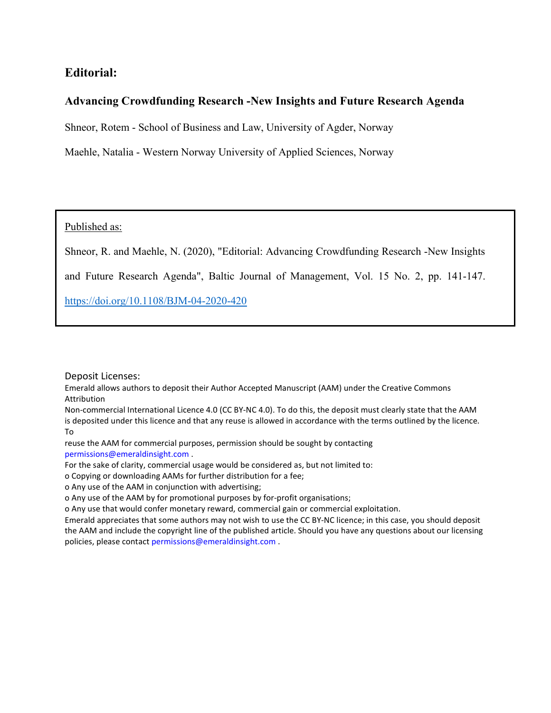# Editorial:

## Advancing Crowdfunding Research -New Insights and Future Research Agenda

Shneor, Rotem - School of Business and Law, University of Agder, Norway

Maehle, Natalia - Western Norway University of Applied Sciences, Norway

Published as:

Shneor, R. and Maehle, N. (2020), "Editorial: Advancing Crowdfunding Research -New Insights

and Future Research Agenda", Baltic Journal of Management, Vol. 15 No. 2, pp. 141-147.

https://doi.org/10.1108/BJM-04-2020-420

Deposit Licenses:

Emerald allows authors to deposit their Author Accepted Manuscript (AAM) under the Creative Commons Attribution

Non-commercial International Licence 4.0 (CC BY-NC 4.0). To do this, the deposit must clearly state that the AAM is deposited under this licence and that any reuse is allowed in accordance with the terms outlined by the licence. To

reuse the AAM for commercial purposes, permission should be sought by contacting permissions@emeraldinsight.com .

For the sake of clarity, commercial usage would be considered as, but not limited to:

o Copying or downloading AAMs for further distribution for a fee;

o Any use of the AAM in conjunction with advertising;

o Any use of the AAM by for promotional purposes by for-profit organisations;

o Any use that would confer monetary reward, commercial gain or commercial exploitation.

Emerald appreciates that some authors may not wish to use the CC BY-NC licence; in this case, you should deposit the AAM and include the copyright line of the published article. Should you have any questions about our licensing policies, please contact permissions@emeraldinsight.com .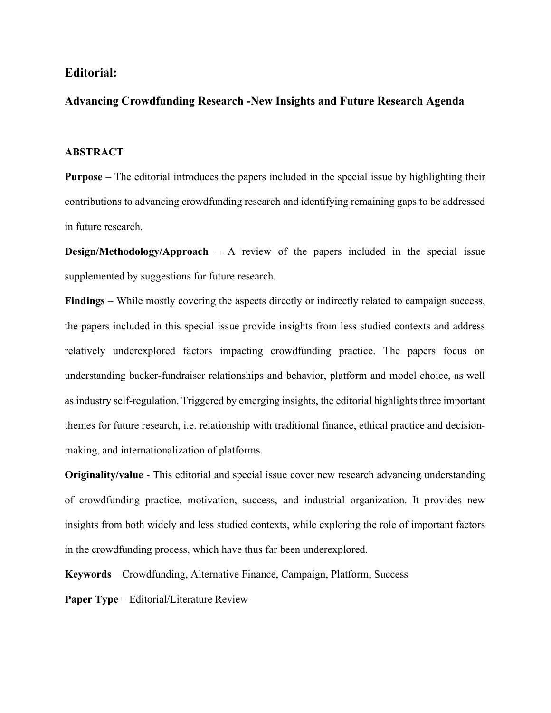## Editorial:

## Advancing Crowdfunding Research -New Insights and Future Research Agenda

## **ABSTRACT**

Purpose – The editorial introduces the papers included in the special issue by highlighting their contributions to advancing crowdfunding research and identifying remaining gaps to be addressed in future research.

Design/Methodology/Approach – A review of the papers included in the special issue supplemented by suggestions for future research.

Findings – While mostly covering the aspects directly or indirectly related to campaign success, the papers included in this special issue provide insights from less studied contexts and address relatively underexplored factors impacting crowdfunding practice. The papers focus on understanding backer-fundraiser relationships and behavior, platform and model choice, as well as industry self-regulation. Triggered by emerging insights, the editorial highlights three important themes for future research, i.e. relationship with traditional finance, ethical practice and decisionmaking, and internationalization of platforms.

Originality/value - This editorial and special issue cover new research advancing understanding of crowdfunding practice, motivation, success, and industrial organization. It provides new insights from both widely and less studied contexts, while exploring the role of important factors in the crowdfunding process, which have thus far been underexplored.

Keywords – Crowdfunding, Alternative Finance, Campaign, Platform, Success

Paper Type – Editorial/Literature Review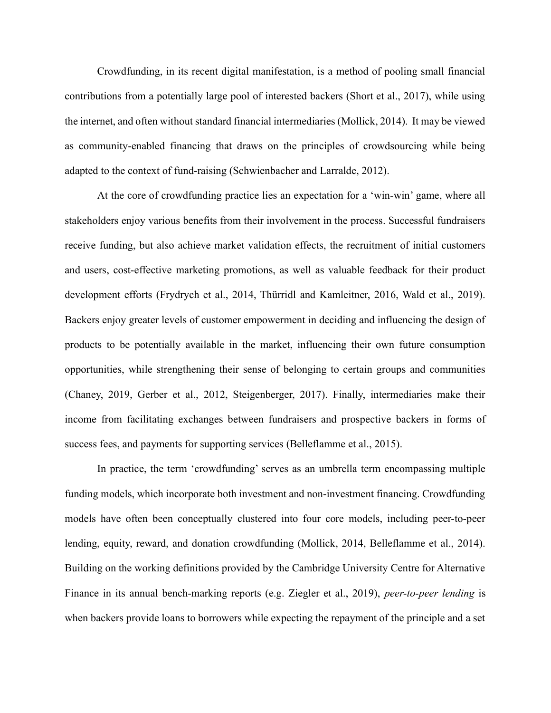Crowdfunding, in its recent digital manifestation, is a method of pooling small financial contributions from a potentially large pool of interested backers (Short et al., 2017), while using the internet, and often without standard financial intermediaries (Mollick, 2014). It may be viewed as community-enabled financing that draws on the principles of crowdsourcing while being adapted to the context of fund-raising (Schwienbacher and Larralde, 2012).

At the core of crowdfunding practice lies an expectation for a 'win-win' game, where all stakeholders enjoy various benefits from their involvement in the process. Successful fundraisers receive funding, but also achieve market validation effects, the recruitment of initial customers and users, cost-effective marketing promotions, as well as valuable feedback for their product development efforts (Frydrych et al., 2014, Thürridl and Kamleitner, 2016, Wald et al., 2019). Backers enjoy greater levels of customer empowerment in deciding and influencing the design of products to be potentially available in the market, influencing their own future consumption opportunities, while strengthening their sense of belonging to certain groups and communities (Chaney, 2019, Gerber et al., 2012, Steigenberger, 2017). Finally, intermediaries make their income from facilitating exchanges between fundraisers and prospective backers in forms of success fees, and payments for supporting services (Belleflamme et al., 2015).

In practice, the term 'crowdfunding' serves as an umbrella term encompassing multiple funding models, which incorporate both investment and non-investment financing. Crowdfunding models have often been conceptually clustered into four core models, including peer-to-peer lending, equity, reward, and donation crowdfunding (Mollick, 2014, Belleflamme et al., 2014). Building on the working definitions provided by the Cambridge University Centre for Alternative Finance in its annual bench-marking reports (e.g. Ziegler et al., 2019), peer-to-peer lending is when backers provide loans to borrowers while expecting the repayment of the principle and a set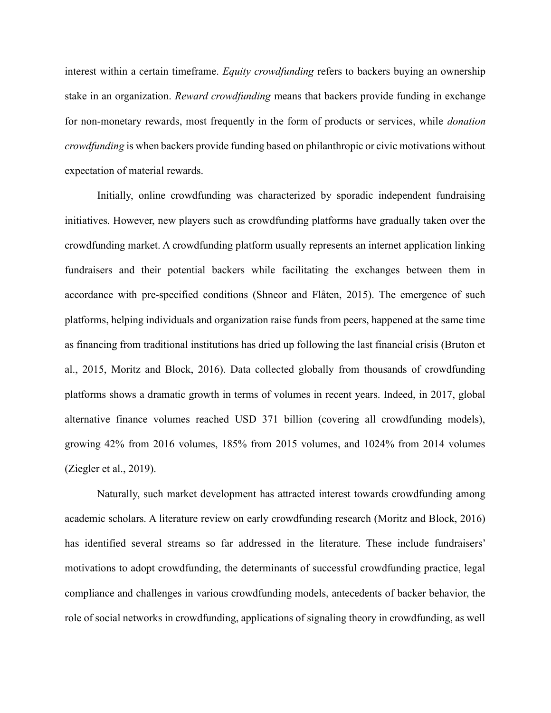interest within a certain timeframe. Equity crowdfunding refers to backers buying an ownership stake in an organization. Reward crowdfunding means that backers provide funding in exchange for non-monetary rewards, most frequently in the form of products or services, while donation crowdfunding is when backers provide funding based on philanthropic or civic motivations without expectation of material rewards.

Initially, online crowdfunding was characterized by sporadic independent fundraising initiatives. However, new players such as crowdfunding platforms have gradually taken over the crowdfunding market. A crowdfunding platform usually represents an internet application linking fundraisers and their potential backers while facilitating the exchanges between them in accordance with pre-specified conditions (Shneor and Flåten, 2015). The emergence of such platforms, helping individuals and organization raise funds from peers, happened at the same time as financing from traditional institutions has dried up following the last financial crisis (Bruton et al., 2015, Moritz and Block, 2016). Data collected globally from thousands of crowdfunding platforms shows a dramatic growth in terms of volumes in recent years. Indeed, in 2017, global alternative finance volumes reached USD 371 billion (covering all crowdfunding models), growing 42% from 2016 volumes, 185% from 2015 volumes, and 1024% from 2014 volumes (Ziegler et al., 2019).

Naturally, such market development has attracted interest towards crowdfunding among academic scholars. A literature review on early crowdfunding research (Moritz and Block, 2016) has identified several streams so far addressed in the literature. These include fundraisers' motivations to adopt crowdfunding, the determinants of successful crowdfunding practice, legal compliance and challenges in various crowdfunding models, antecedents of backer behavior, the role of social networks in crowdfunding, applications of signaling theory in crowdfunding, as well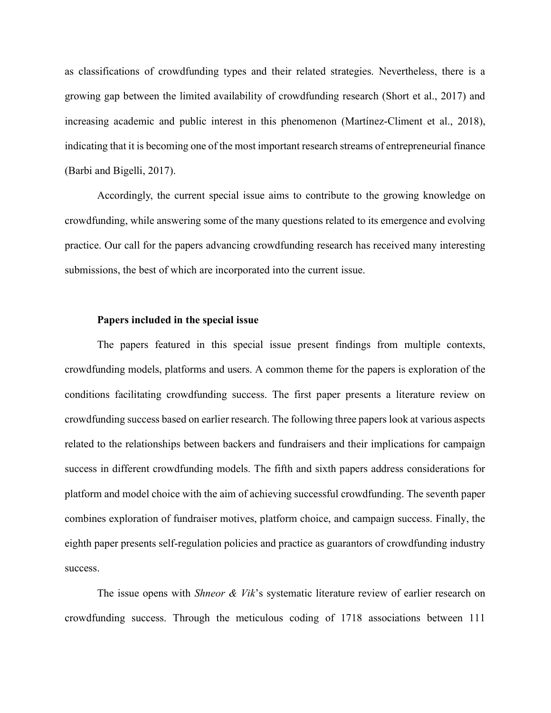as classifications of crowdfunding types and their related strategies. Nevertheless, there is a growing gap between the limited availability of crowdfunding research (Short et al., 2017) and increasing academic and public interest in this phenomenon (Martínez-Climent et al., 2018), indicating that it is becoming one of the most important research streams of entrepreneurial finance (Barbi and Bigelli, 2017).

Accordingly, the current special issue aims to contribute to the growing knowledge on crowdfunding, while answering some of the many questions related to its emergence and evolving practice. Our call for the papers advancing crowdfunding research has received many interesting submissions, the best of which are incorporated into the current issue.

## Papers included in the special issue

The papers featured in this special issue present findings from multiple contexts, crowdfunding models, platforms and users. A common theme for the papers is exploration of the conditions facilitating crowdfunding success. The first paper presents a literature review on crowdfunding success based on earlier research. The following three papers look at various aspects related to the relationships between backers and fundraisers and their implications for campaign success in different crowdfunding models. The fifth and sixth papers address considerations for platform and model choice with the aim of achieving successful crowdfunding. The seventh paper combines exploration of fundraiser motives, platform choice, and campaign success. Finally, the eighth paper presents self-regulation policies and practice as guarantors of crowdfunding industry success.

The issue opens with *Shneor & Vik's* systematic literature review of earlier research on crowdfunding success. Through the meticulous coding of 1718 associations between 111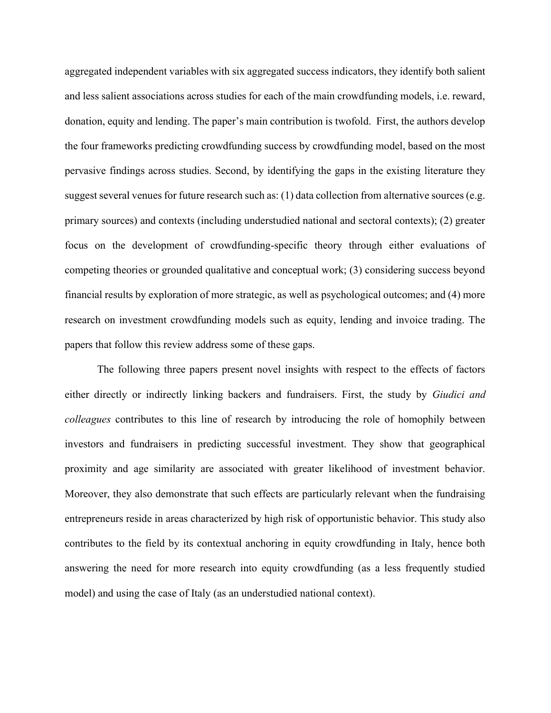aggregated independent variables with six aggregated success indicators, they identify both salient and less salient associations across studies for each of the main crowdfunding models, i.e. reward, donation, equity and lending. The paper's main contribution is twofold. First, the authors develop the four frameworks predicting crowdfunding success by crowdfunding model, based on the most pervasive findings across studies. Second, by identifying the gaps in the existing literature they suggest several venues for future research such as: (1) data collection from alternative sources (e.g. primary sources) and contexts (including understudied national and sectoral contexts); (2) greater focus on the development of crowdfunding-specific theory through either evaluations of competing theories or grounded qualitative and conceptual work; (3) considering success beyond financial results by exploration of more strategic, as well as psychological outcomes; and (4) more research on investment crowdfunding models such as equity, lending and invoice trading. The papers that follow this review address some of these gaps.

The following three papers present novel insights with respect to the effects of factors either directly or indirectly linking backers and fundraisers. First, the study by *Giudici and* colleagues contributes to this line of research by introducing the role of homophily between investors and fundraisers in predicting successful investment. They show that geographical proximity and age similarity are associated with greater likelihood of investment behavior. Moreover, they also demonstrate that such effects are particularly relevant when the fundraising entrepreneurs reside in areas characterized by high risk of opportunistic behavior. This study also contributes to the field by its contextual anchoring in equity crowdfunding in Italy, hence both answering the need for more research into equity crowdfunding (as a less frequently studied model) and using the case of Italy (as an understudied national context).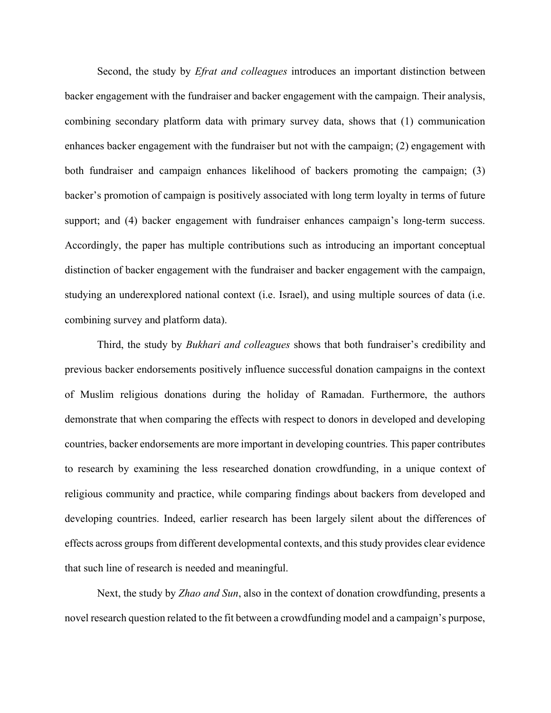Second, the study by *Efrat and colleagues* introduces an important distinction between backer engagement with the fundraiser and backer engagement with the campaign. Their analysis, combining secondary platform data with primary survey data, shows that (1) communication enhances backer engagement with the fundraiser but not with the campaign; (2) engagement with both fundraiser and campaign enhances likelihood of backers promoting the campaign; (3) backer's promotion of campaign is positively associated with long term loyalty in terms of future support; and (4) backer engagement with fundraiser enhances campaign's long-term success. Accordingly, the paper has multiple contributions such as introducing an important conceptual distinction of backer engagement with the fundraiser and backer engagement with the campaign, studying an underexplored national context (i.e. Israel), and using multiple sources of data (i.e. combining survey and platform data).

Third, the study by *Bukhari and colleagues* shows that both fundraiser's credibility and previous backer endorsements positively influence successful donation campaigns in the context of Muslim religious donations during the holiday of Ramadan. Furthermore, the authors demonstrate that when comparing the effects with respect to donors in developed and developing countries, backer endorsements are more important in developing countries. This paper contributes to research by examining the less researched donation crowdfunding, in a unique context of religious community and practice, while comparing findings about backers from developed and developing countries. Indeed, earlier research has been largely silent about the differences of effects across groups from different developmental contexts, and this study provides clear evidence that such line of research is needed and meaningful.

Next, the study by *Zhao and Sun*, also in the context of donation crowdfunding, presents a novel research question related to the fit between a crowdfunding model and a campaign's purpose,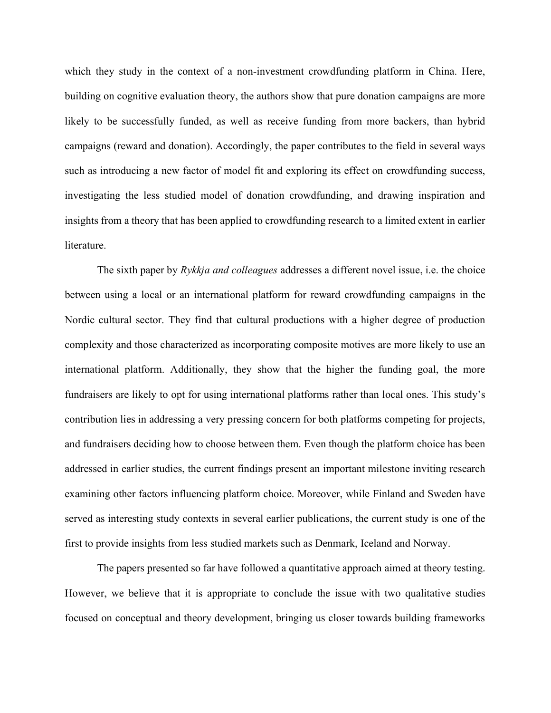which they study in the context of a non-investment crowdfunding platform in China. Here, building on cognitive evaluation theory, the authors show that pure donation campaigns are more likely to be successfully funded, as well as receive funding from more backers, than hybrid campaigns (reward and donation). Accordingly, the paper contributes to the field in several ways such as introducing a new factor of model fit and exploring its effect on crowdfunding success, investigating the less studied model of donation crowdfunding, and drawing inspiration and insights from a theory that has been applied to crowdfunding research to a limited extent in earlier literature.

The sixth paper by Rykkja and colleagues addresses a different novel issue, i.e. the choice between using a local or an international platform for reward crowdfunding campaigns in the Nordic cultural sector. They find that cultural productions with a higher degree of production complexity and those characterized as incorporating composite motives are more likely to use an international platform. Additionally, they show that the higher the funding goal, the more fundraisers are likely to opt for using international platforms rather than local ones. This study's contribution lies in addressing a very pressing concern for both platforms competing for projects, and fundraisers deciding how to choose between them. Even though the platform choice has been addressed in earlier studies, the current findings present an important milestone inviting research examining other factors influencing platform choice. Moreover, while Finland and Sweden have served as interesting study contexts in several earlier publications, the current study is one of the first to provide insights from less studied markets such as Denmark, Iceland and Norway.

The papers presented so far have followed a quantitative approach aimed at theory testing. However, we believe that it is appropriate to conclude the issue with two qualitative studies focused on conceptual and theory development, bringing us closer towards building frameworks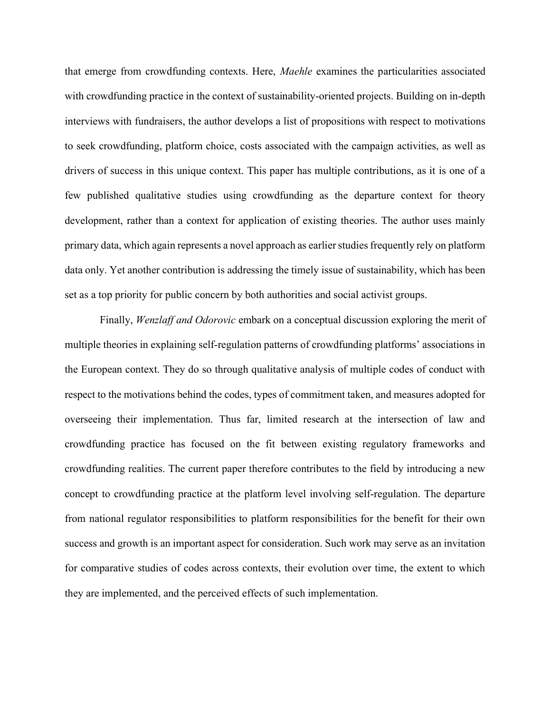that emerge from crowdfunding contexts. Here, *Maehle* examines the particularities associated with crowdfunding practice in the context of sustainability-oriented projects. Building on in-depth interviews with fundraisers, the author develops a list of propositions with respect to motivations to seek crowdfunding, platform choice, costs associated with the campaign activities, as well as drivers of success in this unique context. This paper has multiple contributions, as it is one of a few published qualitative studies using crowdfunding as the departure context for theory development, rather than a context for application of existing theories. The author uses mainly primary data, which again represents a novel approach as earlier studies frequently rely on platform data only. Yet another contribution is addressing the timely issue of sustainability, which has been set as a top priority for public concern by both authorities and social activist groups.

 Finally, Wenzlaff and Odorovic embark on a conceptual discussion exploring the merit of multiple theories in explaining self-regulation patterns of crowdfunding platforms' associations in the European context. They do so through qualitative analysis of multiple codes of conduct with respect to the motivations behind the codes, types of commitment taken, and measures adopted for overseeing their implementation. Thus far, limited research at the intersection of law and crowdfunding practice has focused on the fit between existing regulatory frameworks and crowdfunding realities. The current paper therefore contributes to the field by introducing a new concept to crowdfunding practice at the platform level involving self-regulation. The departure from national regulator responsibilities to platform responsibilities for the benefit for their own success and growth is an important aspect for consideration. Such work may serve as an invitation for comparative studies of codes across contexts, their evolution over time, the extent to which they are implemented, and the perceived effects of such implementation.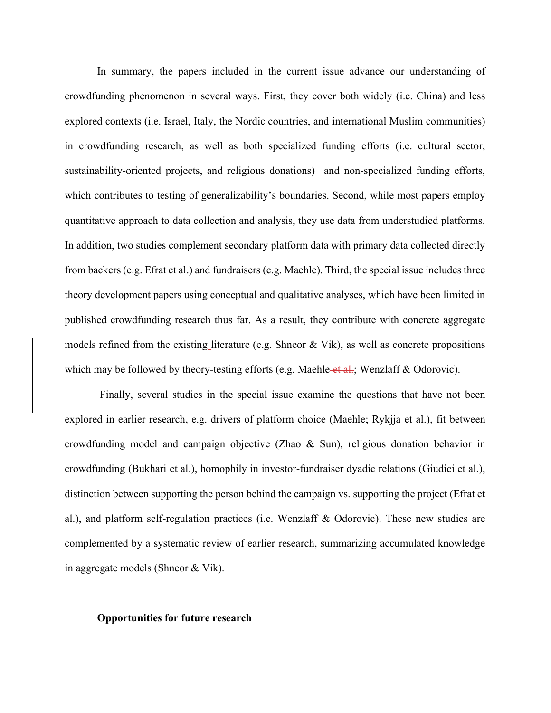In summary, the papers included in the current issue advance our understanding of crowdfunding phenomenon in several ways. First, they cover both widely (i.e. China) and less explored contexts (i.e. Israel, Italy, the Nordic countries, and international Muslim communities) in crowdfunding research, as well as both specialized funding efforts (i.e. cultural sector, sustainability-oriented projects, and religious donations) and non-specialized funding efforts, which contributes to testing of generalizability's boundaries. Second, while most papers employ quantitative approach to data collection and analysis, they use data from understudied platforms. In addition, two studies complement secondary platform data with primary data collected directly from backers (e.g. Efrat et al.) and fundraisers (e.g. Maehle). Third, the special issue includes three theory development papers using conceptual and qualitative analyses, which have been limited in published crowdfunding research thus far. As a result, they contribute with concrete aggregate models refined from the existing literature (e.g. Shneor & Vik), as well as concrete propositions which may be followed by theory-testing efforts (e.g. Maehle-et al.; Wenzlaff & Odorovic).

Finally, several studies in the special issue examine the questions that have not been explored in earlier research, e.g. drivers of platform choice (Maehle; Rykjja et al.), fit between crowdfunding model and campaign objective (Zhao & Sun), religious donation behavior in crowdfunding (Bukhari et al.), homophily in investor-fundraiser dyadic relations (Giudici et al.), distinction between supporting the person behind the campaign vs. supporting the project (Efrat et al.), and platform self-regulation practices (i.e. Wenzlaff & Odorovic). These new studies are complemented by a systematic review of earlier research, summarizing accumulated knowledge in aggregate models (Shneor & Vik).

#### Opportunities for future research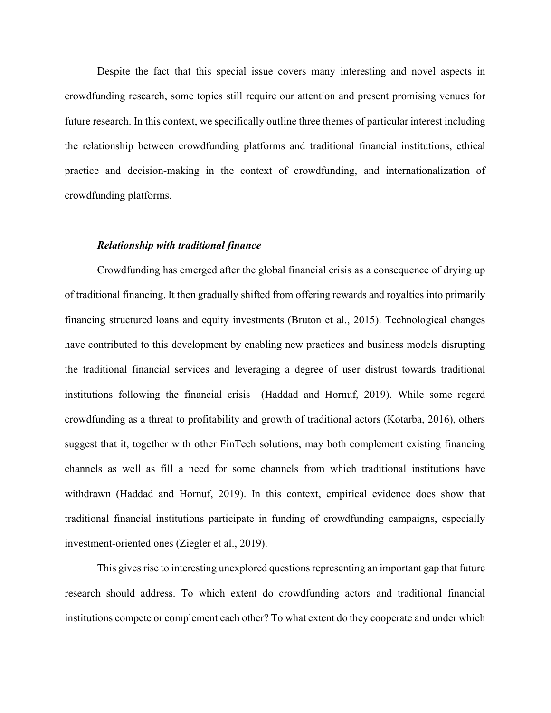Despite the fact that this special issue covers many interesting and novel aspects in crowdfunding research, some topics still require our attention and present promising venues for future research. In this context, we specifically outline three themes of particular interest including the relationship between crowdfunding platforms and traditional financial institutions, ethical practice and decision-making in the context of crowdfunding, and internationalization of crowdfunding platforms.

#### Relationship with traditional finance

Crowdfunding has emerged after the global financial crisis as a consequence of drying up of traditional financing. It then gradually shifted from offering rewards and royalties into primarily financing structured loans and equity investments (Bruton et al., 2015). Technological changes have contributed to this development by enabling new practices and business models disrupting the traditional financial services and leveraging a degree of user distrust towards traditional institutions following the financial crisis (Haddad and Hornuf, 2019). While some regard crowdfunding as a threat to profitability and growth of traditional actors (Kotarba, 2016), others suggest that it, together with other FinTech solutions, may both complement existing financing channels as well as fill a need for some channels from which traditional institutions have withdrawn (Haddad and Hornuf, 2019). In this context, empirical evidence does show that traditional financial institutions participate in funding of crowdfunding campaigns, especially investment-oriented ones (Ziegler et al., 2019).

This gives rise to interesting unexplored questions representing an important gap that future research should address. To which extent do crowdfunding actors and traditional financial institutions compete or complement each other? To what extent do they cooperate and under which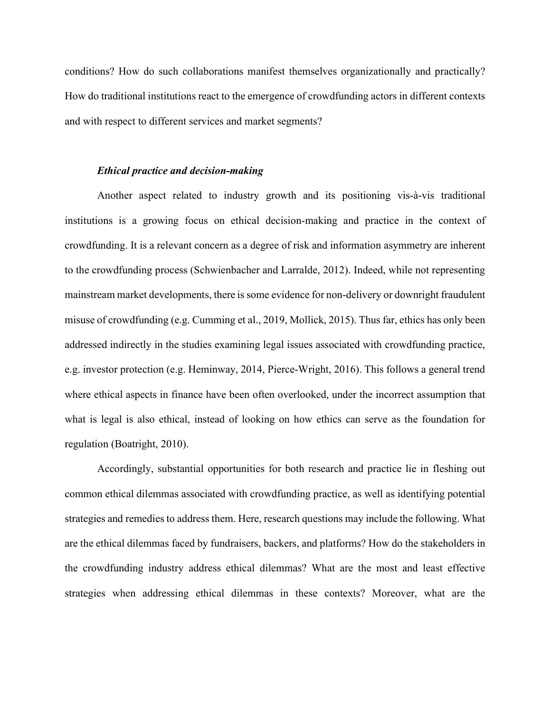conditions? How do such collaborations manifest themselves organizationally and practically? How do traditional institutions react to the emergence of crowdfunding actors in different contexts and with respect to different services and market segments?

### Ethical practice and decision-making

Another aspect related to industry growth and its positioning vis-à-vis traditional institutions is a growing focus on ethical decision-making and practice in the context of crowdfunding. It is a relevant concern as a degree of risk and information asymmetry are inherent to the crowdfunding process (Schwienbacher and Larralde, 2012). Indeed, while not representing mainstream market developments, there is some evidence for non-delivery or downright fraudulent misuse of crowdfunding (e.g. Cumming et al., 2019, Mollick, 2015). Thus far, ethics has only been addressed indirectly in the studies examining legal issues associated with crowdfunding practice, e.g. investor protection (e.g. Heminway, 2014, Pierce-Wright, 2016). This follows a general trend where ethical aspects in finance have been often overlooked, under the incorrect assumption that what is legal is also ethical, instead of looking on how ethics can serve as the foundation for regulation (Boatright, 2010).

Accordingly, substantial opportunities for both research and practice lie in fleshing out common ethical dilemmas associated with crowdfunding practice, as well as identifying potential strategies and remedies to address them. Here, research questions may include the following. What are the ethical dilemmas faced by fundraisers, backers, and platforms? How do the stakeholders in the crowdfunding industry address ethical dilemmas? What are the most and least effective strategies when addressing ethical dilemmas in these contexts? Moreover, what are the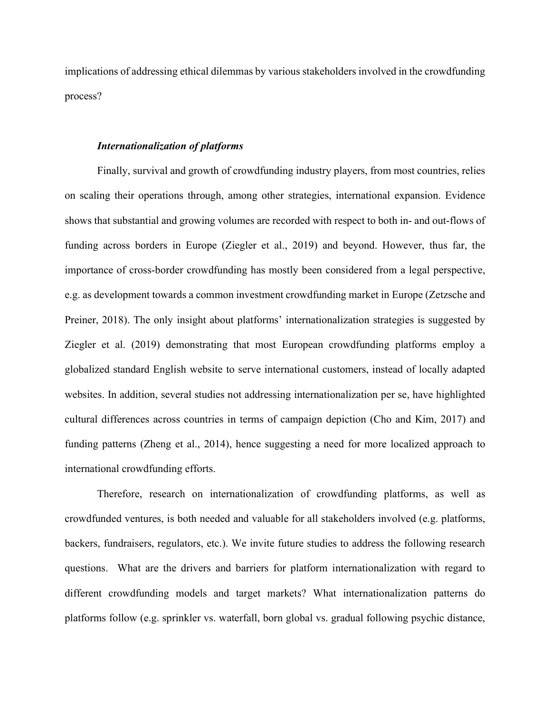implications of addressing ethical dilemmas by various stakeholders involved in the crowdfunding process?

### Internationalization of platforms

Finally, survival and growth of crowdfunding industry players, from most countries, relies on scaling their operations through, among other strategies, international expansion. Evidence shows that substantial and growing volumes are recorded with respect to both in- and out-flows of funding across borders in Europe (Ziegler et al., 2019) and beyond. However, thus far, the importance of cross-border crowdfunding has mostly been considered from a legal perspective, e.g. as development towards a common investment crowdfunding market in Europe (Zetzsche and Preiner, 2018). The only insight about platforms' internationalization strategies is suggested by Ziegler et al. (2019) demonstrating that most European crowdfunding platforms employ a globalized standard English website to serve international customers, instead of locally adapted websites. In addition, several studies not addressing internationalization per se, have highlighted cultural differences across countries in terms of campaign depiction (Cho and Kim, 2017) and funding patterns (Zheng et al., 2014), hence suggesting a need for more localized approach to international crowdfunding efforts.

Therefore, research on internationalization of crowdfunding platforms, as well as crowdfunded ventures, is both needed and valuable for all stakeholders involved (e.g. platforms, backers, fundraisers, regulators, etc.). We invite future studies to address the following research questions. What are the drivers and barriers for platform internationalization with regard to different crowdfunding models and target markets? What internationalization patterns do platforms follow (e.g. sprinkler vs. waterfall, born global vs. gradual following psychic distance,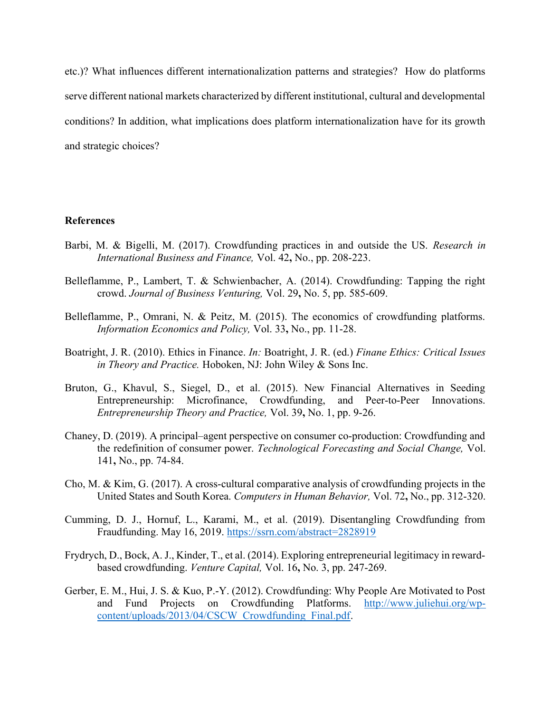etc.)? What influences different internationalization patterns and strategies? How do platforms serve different national markets characterized by different institutional, cultural and developmental conditions? In addition, what implications does platform internationalization have for its growth and strategic choices?

### References

- Barbi, M. & Bigelli, M. (2017). Crowdfunding practices in and outside the US. Research in International Business and Finance, Vol. 42, No., pp. 208-223.
- Belleflamme, P., Lambert, T. & Schwienbacher, A. (2014). Crowdfunding: Tapping the right crowd. Journal of Business Venturing, Vol. 29, No. 5, pp. 585-609.
- Belleflamme, P., Omrani, N. & Peitz, M. (2015). The economics of crowdfunding platforms. Information Economics and Policy, Vol. 33, No., pp. 11-28.
- Boatright, J. R. (2010). Ethics in Finance. In: Boatright, J. R. (ed.) Finane Ethics: Critical Issues in Theory and Practice. Hoboken, NJ: John Wiley & Sons Inc.
- Bruton, G., Khavul, S., Siegel, D., et al. (2015). New Financial Alternatives in Seeding Entrepreneurship: Microfinance, Crowdfunding, and Peer-to-Peer Innovations. Entrepreneurship Theory and Practice, Vol. 39, No. 1, pp. 9-26.
- Chaney, D. (2019). A principal–agent perspective on consumer co-production: Crowdfunding and the redefinition of consumer power. Technological Forecasting and Social Change, Vol. 141, No., pp. 74-84.
- Cho, M. & Kim, G. (2017). A cross-cultural comparative analysis of crowdfunding projects in the United States and South Korea. Computers in Human Behavior, Vol. 72, No., pp. 312-320.
- Cumming, D. J., Hornuf, L., Karami, M., et al. (2019). Disentangling Crowdfunding from Fraudfunding. May 16, 2019. https://ssrn.com/abstract=2828919
- Frydrych, D., Bock, A. J., Kinder, T., et al. (2014). Exploring entrepreneurial legitimacy in rewardbased crowdfunding. Venture Capital, Vol. 16, No. 3, pp. 247-269.
- Gerber, E. M., Hui, J. S. & Kuo, P.-Y. (2012). Crowdfunding: Why People Are Motivated to Post and Fund Projects on Crowdfunding Platforms. http://www.juliehui.org/wpcontent/uploads/2013/04/CSCW\_Crowdfunding\_Final.pdf.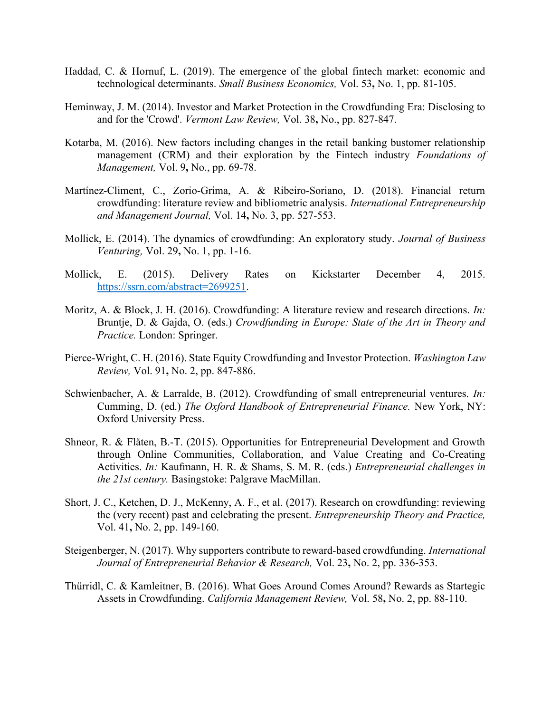- Haddad, C. & Hornuf, L. (2019). The emergence of the global fintech market: economic and technological determinants. Small Business Economics, Vol. 53, No. 1, pp. 81-105.
- Heminway, J. M. (2014). Investor and Market Protection in the Crowdfunding Era: Disclosing to and for the 'Crowd'. Vermont Law Review, Vol. 38, No., pp. 827-847.
- Kotarba, M. (2016). New factors including changes in the retail banking bustomer relationship management (CRM) and their exploration by the Fintech industry *Foundations of* Management, Vol. 9, No., pp. 69-78.
- Martínez-Climent, C., Zorio-Grima, A. & Ribeiro-Soriano, D. (2018). Financial return crowdfunding: literature review and bibliometric analysis. International Entrepreneurship and Management Journal, Vol. 14, No. 3, pp. 527-553.
- Mollick, E. (2014). The dynamics of crowdfunding: An exploratory study. Journal of Business Venturing, Vol. 29, No. 1, pp. 1-16.
- Mollick, E. (2015). Delivery Rates on Kickstarter December 4, 2015. https://ssrn.com/abstract=2699251.
- Moritz, A. & Block, J. H. (2016). Crowdfunding: A literature review and research directions. *In:* Bruntje, D. & Gajda, O. (eds.) Crowdfunding in Europe: State of the Art in Theory and Practice. London: Springer.
- Pierce-Wright, C. H. (2016). State Equity Crowdfunding and Investor Protection. Washington Law Review, Vol. 91, No. 2, pp. 847-886.
- Schwienbacher, A. & Larralde, B. (2012). Crowdfunding of small entrepreneurial ventures. In: Cumming, D. (ed.) The Oxford Handbook of Entrepreneurial Finance. New York, NY: Oxford University Press.
- Shneor, R. & Flåten, B.-T. (2015). Opportunities for Entrepreneurial Development and Growth through Online Communities, Collaboration, and Value Creating and Co-Creating Activities. In: Kaufmann, H. R. & Shams, S. M. R. (eds.) *Entrepreneurial challenges in* the 21st century. Basingstoke: Palgrave MacMillan.
- Short, J. C., Ketchen, D. J., McKenny, A. F., et al. (2017). Research on crowdfunding: reviewing the (very recent) past and celebrating the present. Entrepreneurship Theory and Practice, Vol. 41, No. 2, pp. 149-160.
- Steigenberger, N. (2017). Why supporters contribute to reward-based crowdfunding. International Journal of Entrepreneurial Behavior & Research, Vol. 23, No. 2, pp. 336-353.
- Thürridl, C. & Kamleitner, B. (2016). What Goes Around Comes Around? Rewards as Startegic Assets in Crowdfunding. California Management Review, Vol. 58, No. 2, pp. 88-110.